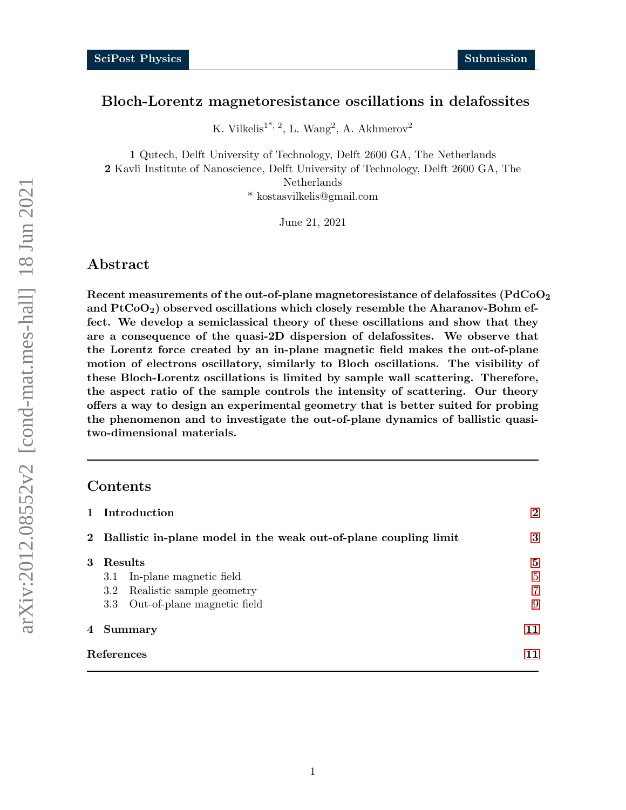### Bloch-Lorentz magnetoresistance oscillations in delafossites

K. Vilkelis<sup>1\*, 2</sup>, L. Wang<sup>2</sup>, A. Akhmerov<sup>2</sup>

1 Qutech, Delft University of Technology, Delft 2600 GA, The Netherlands 2 Kavli Institute of Nanoscience, Delft University of Technology, Delft 2600 GA, The Netherlands \* kostasvilkelis@gmail.com

June 21, 2021

### Abstract

Recent measurements of the out-of-plane magnetoresistance of delafossites ( $\rm PdCoO_2$ and  $PtCoO<sub>2</sub>$ ) observed oscillations which closely resemble the Aharanov-Bohm effect. We develop a semiclassical theory of these oscillations and show that they are a consequence of the quasi-2D dispersion of delafossites. We observe that the Lorentz force created by an in-plane magnetic field makes the out-of-plane motion of electrons oscillatory, similarly to Bloch oscillations. The visibility of these Bloch-Lorentz oscillations is limited by sample wall scattering. Therefore, the aspect ratio of the sample controls the intensity of scattering. Our theory offers a way to design an experimental geometry that is better suited for probing the phenomenon and to investigate the out-of-plane dynamics of ballistic quasitwo-dimensional materials.

### Contents

|              | Introduction                                                     | $\bf{2}$       |
|--------------|------------------------------------------------------------------|----------------|
| $\mathbf{2}$ | Ballistic in-plane model in the weak out-of-plane coupling limit | 3              |
| 3            | Results                                                          | 5              |
|              | In-plane magnetic field<br>3.1                                   | 5              |
|              | Realistic sample geometry<br>$3.2\,$                             | $\overline{7}$ |
|              | Out-of-plane magnetic field<br>$3.3\phantom{0}$                  | 9              |
| 4            | <b>Summary</b>                                                   | 11             |
| References   |                                                                  | 11             |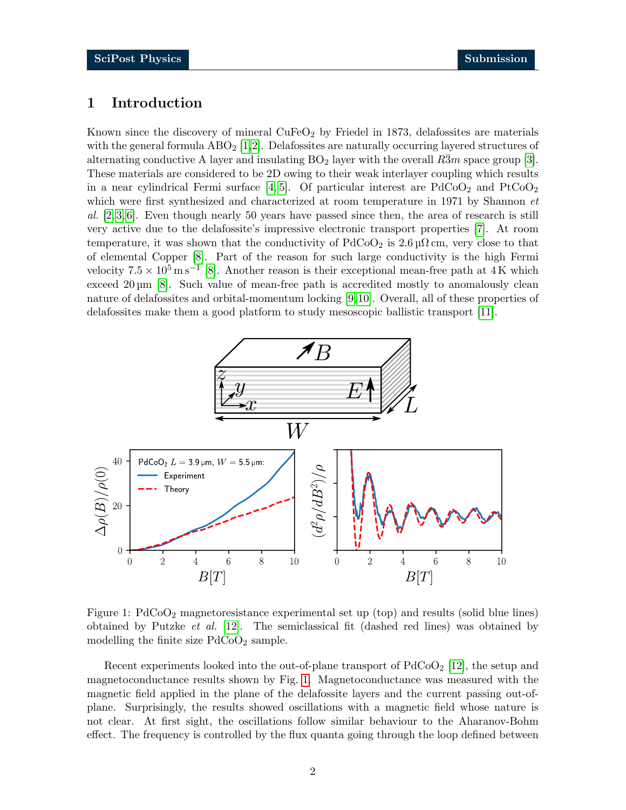## <span id="page-1-0"></span>1 Introduction

Known since the discovery of mineral  $CuFeO<sub>2</sub>$  by Friedel in 1873, delafossites are materials with the general formula  $\text{ABO}_2$  [\[1,](#page-10-1)[2\]](#page-10-2). Delafossites are naturally occurring layered structures of alternating conductive A layer and insulating  $BO<sub>2</sub>$  layer with the overall R3m space group [\[3\]](#page-10-3). These materials are considered to be 2D owing to their weak interlayer coupling which results in a near cylindrical Fermi surface [\[4,](#page-10-4) [5\]](#page-10-5). Of particular interest are  $PdCoO<sub>2</sub>$  and  $PtCoO<sub>2</sub>$ which were first synthesized and characterized at room temperature in 1971 by Shannon *et* al.  $[2, 3, 6]$  $[2, 3, 6]$  $[2, 3, 6]$ . Even though nearly 50 years have passed since then, the area of research is still very active due to the delafossite's impressive electronic transport properties [\[7\]](#page-11-1). At room temperature, it was shown that the conductivity of  $PdCoO<sub>2</sub>$  is  $2.6 \mu\Omega$  cm, very close to that of elemental Copper [\[8\]](#page-11-2). Part of the reason for such large conductivity is the high Fermi velocity  $7.5 \times 10^5 \text{ m s}^{-1}$  [\[8\]](#page-11-2). Another reason is their exceptional mean-free path at 4K which exceed  $20 \,\mathrm{\upmu m}$  [\[8\]](#page-11-2). Such value of mean-free path is accredited mostly to anomalously clean nature of delafossites and orbital-momentum locking [\[9,](#page-11-3) [10\]](#page-11-4). Overall, all of these properties of delafossites make them a good platform to study mesoscopic ballistic transport [\[11\]](#page-11-5).



<span id="page-1-1"></span>Figure 1: PdCoO<sup>2</sup> magnetoresistance experimental set up (top) and results (solid blue lines) obtained by Putzke *et al.* [\[12\]](#page-11-6). The semiclassical fit (dashed red lines) was obtained by modelling the finite size  $PdCoO<sub>2</sub>$  sample.

Recent experiments looked into the out-of-plane transport of  $PdCoO<sub>2</sub>$  [\[12\]](#page-11-6), the setup and magnetoconductance results shown by Fig. [1.](#page-1-1) Magnetoconductance was measured with the magnetic field applied in the plane of the delafossite layers and the current passing out-ofplane. Surprisingly, the results showed oscillations with a magnetic field whose nature is not clear. At first sight, the oscillations follow similar behaviour to the Aharanov-Bohm effect. The frequency is controlled by the flux quanta going through the loop defined between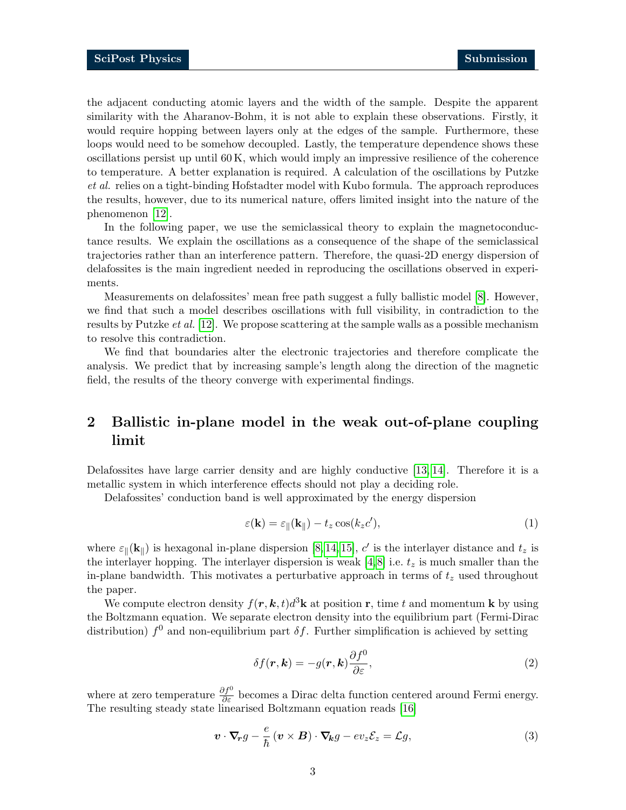the adjacent conducting atomic layers and the width of the sample. Despite the apparent similarity with the Aharanov-Bohm, it is not able to explain these observations. Firstly, it would require hopping between layers only at the edges of the sample. Furthermore, these loops would need to be somehow decoupled. Lastly, the temperature dependence shows these  $\alpha$  oscillations persist up until 60 K, which would imply an impressive resilience of the coherence to temperature. A better explanation is required. A calculation of the oscillations by Putzke et al. relies on a tight-binding Hofstadter model with Kubo formula. The approach reproduces the results, however, due to its numerical nature, offers limited insight into the nature of the phenomenon [\[12\]](#page-11-6).

In the following paper, we use the semiclassical theory to explain the magnetoconductance results. We explain the oscillations as a consequence of the shape of the semiclassical trajectories rather than an interference pattern. Therefore, the quasi-2D energy dispersion of delafossites is the main ingredient needed in reproducing the oscillations observed in experiments.

Measurements on delafossites' mean free path suggest a fully ballistic model [\[8\]](#page-11-2). However, we find that such a model describes oscillations with full visibility, in contradiction to the results by Putzke et al. [\[12\]](#page-11-6). We propose scattering at the sample walls as a possible mechanism to resolve this contradiction.

We find that boundaries alter the electronic trajectories and therefore complicate the analysis. We predict that by increasing sample's length along the direction of the magnetic field, the results of the theory converge with experimental findings.

# <span id="page-2-0"></span>2 Ballistic in-plane model in the weak out-of-plane coupling limit

Delafossites have large carrier density and are highly conductive [\[13,](#page-11-7) [14\]](#page-11-8). Therefore it is a metallic system in which interference effects should not play a deciding role.

Delafossites' conduction band is well approximated by the energy dispersion

$$
\varepsilon(\mathbf{k}) = \varepsilon_{\parallel}(\mathbf{k}_{\parallel}) - t_z \cos(k_z c'),\tag{1}
$$

where  $\varepsilon_{\parallel}(\mathbf{k}_{\parallel})$  is hexagonal in-plane dispersion [\[8,](#page-11-2) [14,](#page-11-8) [15\]](#page-11-9), c' is the interlayer distance and  $t_z$  is the interlayer hopping. The interlayer dispersion is weak [\[4,](#page-10-4)8] i.e.  $t_z$  is much smaller than the in-plane bandwidth. This motivates a perturbative approach in terms of  $t<sub>z</sub>$  used throughout the paper.

We compute electron density  $f(\mathbf{r}, \mathbf{k}, t) d^3\mathbf{k}$  at position **r**, time t and momentum **k** by using the Boltzmann equation. We separate electron density into the equilibrium part (Fermi-Dirac distribution)  $f^0$  and non-equilibrium part  $\delta f$ . Further simplification is achieved by setting

<span id="page-2-2"></span><span id="page-2-1"></span>
$$
\delta f(\mathbf{r}, \mathbf{k}) = -g(\mathbf{r}, \mathbf{k}) \frac{\partial f^0}{\partial \varepsilon},
$$
\n(2)

where at zero temperature  $\frac{\partial f^0}{\partial \varepsilon}$  becomes a Dirac delta function centered around Fermi energy. The resulting steady state linearised Boltzmann equation reads [\[16\]](#page-11-10)

$$
\boldsymbol{v} \cdot \boldsymbol{\nabla}_{\!\!r} g - \frac{e}{\hbar} \left( \boldsymbol{v} \times \boldsymbol{B} \right) \cdot \boldsymbol{\nabla}_{\!\!k} g - ev_z \mathcal{E}_z = \mathcal{L} g,\tag{3}
$$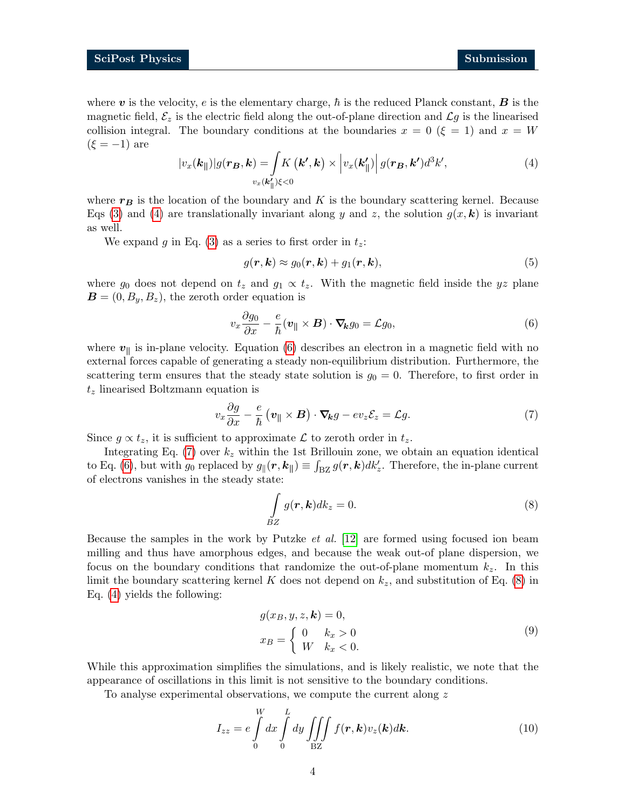where v is the velocity, e is the elementary charge,  $\hbar$  is the reduced Planck constant,  $\boldsymbol{B}$  is the magnetic field,  $\mathcal{E}_z$  is the electric field along the out-of-plane direction and  $\mathcal{L}g$  is the linearised collision integral. The boundary conditions at the boundaries  $x = 0$  ( $\xi = 1$ ) and  $x = W$  $(\xi = -1)$  are

<span id="page-3-0"></span>
$$
|v_x(\mathbf{k}_{\parallel})|g(\mathbf{r}_{\mathbf{B}},\mathbf{k}) = \int K(\mathbf{k}',\mathbf{k}) \times \left| v_x(\mathbf{k}'_{\parallel}) \right| g(\mathbf{r}_{\mathbf{B}},\mathbf{k}')d^3k', \tag{4}
$$

where  $r_B$  is the location of the boundary and K is the boundary scattering kernel. Because Eqs [\(3\)](#page-2-1) and [\(4\)](#page-3-0) are translationally invariant along y and z, the solution  $g(x, k)$  is invariant as well.

We expand g in Eq. [\(3\)](#page-2-1) as a series to first order in  $t_z$ .

<span id="page-3-1"></span>
$$
g(\mathbf{r}, \mathbf{k}) \approx g_0(\mathbf{r}, \mathbf{k}) + g_1(\mathbf{r}, \mathbf{k}), \tag{5}
$$

where  $g_0$  does not depend on  $t_z$  and  $g_1 \propto t_z$ . With the magnetic field inside the yz plane  $\mathbf{B} = (0, B_y, B_z)$ , the zeroth order equation is

$$
v_x \frac{\partial g_0}{\partial x} - \frac{e}{\hbar} (\mathbf{v}_{\parallel} \times \mathbf{B}) \cdot \nabla_{\mathbf{k}} g_0 = \mathcal{L} g_0,
$$
\n(6)

where  $v_{\parallel}$  is in-plane velocity. Equation [\(6\)](#page-3-1) describes an electron in a magnetic field with no external forces capable of generating a steady non-equilibrium distribution. Furthermore, the scattering term ensures that the steady state solution is  $g_0 = 0$ . Therefore, to first order in  $t<sub>z</sub>$  linearised Boltzmann equation is

<span id="page-3-2"></span>
$$
v_x \frac{\partial g}{\partial x} - \frac{e}{\hbar} \left( \boldsymbol{v}_{\parallel} \times \boldsymbol{B} \right) \cdot \boldsymbol{\nabla}_{\! \boldsymbol{k}} g - ev_z \mathcal{E}_z = \mathcal{L} g. \tag{7}
$$

Since  $g \propto t_z$ , it is sufficient to approximate  $\mathcal L$  to zeroth order in  $t_z$ .

Integrating Eq. [\(7\)](#page-3-2) over  $k_z$  within the 1st Brillouin zone, we obtain an equation identical to Eq. [\(6\)](#page-3-1), but with  $g_0$  replaced by  $g_{\parallel}(r, k_{\parallel}) \equiv \int_{BZ} g(r, k) dk'_{z}$ . Therefore, the in-plane current of electrons vanishes in the steady state:

<span id="page-3-3"></span>
$$
\int_{BZ} g(\mathbf{r}, \mathbf{k}) dk_z = 0.
$$
\n(8)

Because the samples in the work by Putzke et al. [\[12\]](#page-11-6) are formed using focused ion beam milling and thus have amorphous edges, and because the weak out-of plane dispersion, we focus on the boundary conditions that randomize the out-of-plane momentum  $k_z$ . In this limit the boundary scattering kernel K does not depend on  $k_z$ , and substitution of Eq. [\(8\)](#page-3-3) in Eq. [\(4\)](#page-3-0) yields the following:

<span id="page-3-5"></span><span id="page-3-4"></span>
$$
g(x_B, y, z, \mathbf{k}) = 0,
$$
  
\n
$$
x_B = \begin{cases} 0 & k_x > 0 \\ W & k_x < 0. \end{cases}
$$
\n(9)

While this approximation simplifies the simulations, and is likely realistic, we note that the appearance of oscillations in this limit is not sensitive to the boundary conditions.

To analyse experimental observations, we compute the current along z

$$
I_{zz} = e \int\limits_{0}^{W} dx \int\limits_{0}^{L} dy \iiint\limits_{\text{BZ}} f(\mathbf{r}, \mathbf{k}) v_z(\mathbf{k}) d\mathbf{k}.
$$
 (10)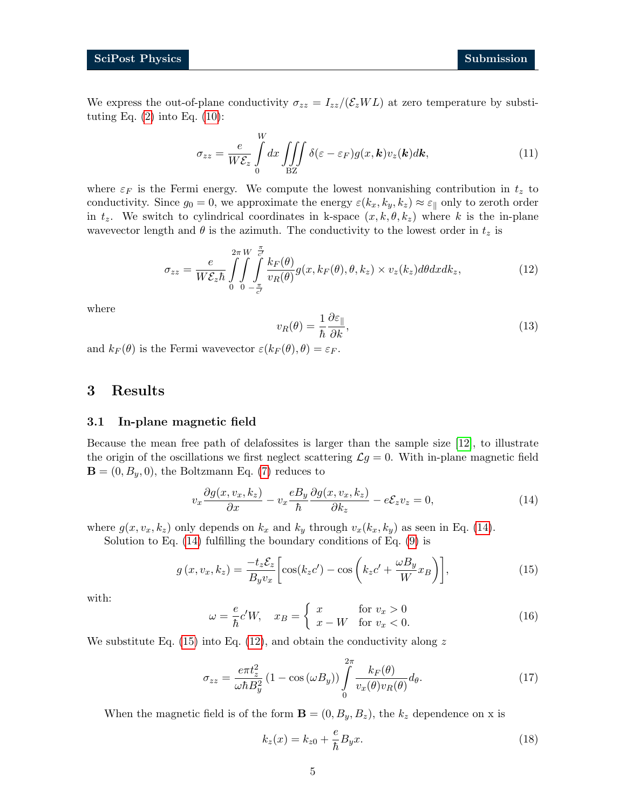We express the out-of-plane conductivity  $\sigma_{zz} = I_{zz}/(\mathcal{E}_z WL)$  at zero temperature by substituting Eq.  $(2)$  into Eq.  $(10)$ :

$$
\sigma_{zz} = \frac{e}{W\mathcal{E}_z} \int_0^W dx \iiint_{\text{BZ}} \delta(\varepsilon - \varepsilon_F) g(x, \mathbf{k}) v_z(\mathbf{k}) d\mathbf{k}, \tag{11}
$$

where  $\varepsilon_F$  is the Fermi energy. We compute the lowest nonvanishing contribution in  $t_z$  to conductivity. Since  $g_0 = 0$ , we approximate the energy  $\varepsilon(k_x, k_y, k_z) \approx \varepsilon_{\parallel}$  only to zeroth order in  $t_z$ . We switch to cylindrical coordinates in k-space  $(x, k, \theta, k_z)$  where k is the in-plane wavevector length and  $\theta$  is the azimuth. The conductivity to the lowest order in  $t_z$  is

$$
\sigma_{zz} = \frac{e}{W\mathcal{E}_z \hbar} \int_0^{2\pi} \int_0^W \int_{-\frac{\pi}{c'}}^{\frac{\pi}{c'}} \frac{k_F(\theta)}{v_R(\theta)} g(x, k_F(\theta), \theta, k_z) \times v_z(k_z) d\theta dx dk_z, \qquad (12)
$$

where

<span id="page-4-4"></span>
$$
v_R(\theta) = \frac{1}{\hbar} \frac{\partial \varepsilon_{\parallel}}{\partial k},\tag{13}
$$

and  $k_F(\theta)$  is the Fermi wavevector  $\varepsilon(k_F(\theta), \theta) = \varepsilon_F$ .

### <span id="page-4-0"></span>3 Results

#### <span id="page-4-1"></span>3.1 In-plane magnetic field

Because the mean free path of delafossites is larger than the sample size [\[12\]](#page-11-6), to illustrate the origin of the oscillations we first neglect scattering  $\mathcal{L}g = 0$ . With in-plane magnetic field  $\mathbf{B} = (0, B_y, 0)$ , the Boltzmann Eq. [\(7\)](#page-3-2) reduces to

<span id="page-4-2"></span>
$$
v_x \frac{\partial g(x, v_x, k_z)}{\partial x} - v_x \frac{e B_y}{\hbar} \frac{\partial g(x, v_x, k_z)}{\partial k_z} - e \mathcal{E}_z v_z = 0, \tag{14}
$$

where  $g(x, v_x, k_z)$  only depends on  $k_x$  and  $k_y$  through  $v_x(k_x, k_y)$  as seen in Eq. [\(14\)](#page-4-2).

Solution to Eq.  $(14)$  fulfilling the boundary conditions of Eq.  $(9)$  is

$$
g(x, v_x, k_z) = \frac{-t_z \mathcal{E}_z}{B_y v_x} \left[ \cos(k_z c') - \cos\left(k_z c' + \frac{\omega B_y}{W} x_B\right) \right],\tag{15}
$$

with:

<span id="page-4-3"></span>
$$
\omega = \frac{e}{\hbar} c' W, \quad x_B = \begin{cases} x & \text{for } v_x > 0 \\ x - W & \text{for } v_x < 0. \end{cases}
$$
 (16)

We substitute Eq. [\(15\)](#page-4-3) into Eq. [\(12\)](#page-4-4), and obtain the conductivity along  $z$ 

$$
\sigma_{zz} = \frac{e\pi t_z^2}{\omega \hbar B_y^2} (1 - \cos(\omega B_y)) \int_0^{2\pi} \frac{k_F(\theta)}{v_x(\theta)v_R(\theta)} d\theta.
$$
 (17)

When the magnetic field is of the form  $\mathbf{B} = (0, B_y, B_z)$ , the  $k_z$  dependence on x is

<span id="page-4-6"></span><span id="page-4-5"></span>
$$
k_z(x) = k_{z0} + \frac{e}{\hbar} B_y x.
$$
\n<sup>(18)</sup>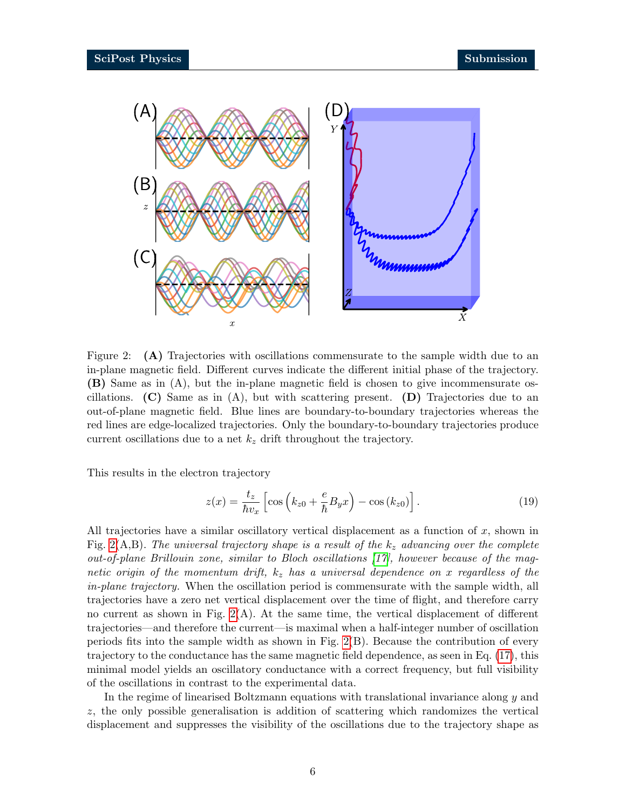

<span id="page-5-0"></span>Figure 2: (A) Trajectories with oscillations commensurate to the sample width due to an in-plane magnetic field. Different curves indicate the different initial phase of the trajectory. (B) Same as in (A), but the in-plane magnetic field is chosen to give incommensurate oscillations. (C) Same as in  $(A)$ , but with scattering present. (D) Trajectories due to an out-of-plane magnetic field. Blue lines are boundary-to-boundary trajectories whereas the red lines are edge-localized trajectories. Only the boundary-to-boundary trajectories produce current oscillations due to a net  $k_z$  drift throughout the trajectory.

This results in the electron trajectory

$$
z(x) = \frac{t_z}{\hbar v_x} \left[ \cos \left( k_{z0} + \frac{e}{\hbar} B_y x \right) - \cos \left( k_{z0} \right) \right]. \tag{19}
$$

All trajectories have a similar oscillatory vertical displacement as a function of x, shown in Fig. [2\(](#page-5-0)A,B). The universal trajectory shape is a result of the  $k_z$  advancing over the complete out-of-plane Brillouin zone, similar to Bloch oscillations [\[17\]](#page-11-11), however because of the magnetic origin of the momentum drift,  $k_z$  has a universal dependence on x regardless of the in-plane trajectory. When the oscillation period is commensurate with the sample width, all trajectories have a zero net vertical displacement over the time of flight, and therefore carry no current as shown in Fig.  $2(A)$ . At the same time, the vertical displacement of different trajectories—and therefore the current—is maximal when a half-integer number of oscillation periods fits into the sample width as shown in Fig. [2\(](#page-5-0)B). Because the contribution of every trajectory to the conductance has the same magnetic field dependence, as seen in Eq. [\(17\)](#page-4-5), this minimal model yields an oscillatory conductance with a correct frequency, but full visibility of the oscillations in contrast to the experimental data.

In the regime of linearised Boltzmann equations with translational invariance along y and z, the only possible generalisation is addition of scattering which randomizes the vertical displacement and suppresses the visibility of the oscillations due to the trajectory shape as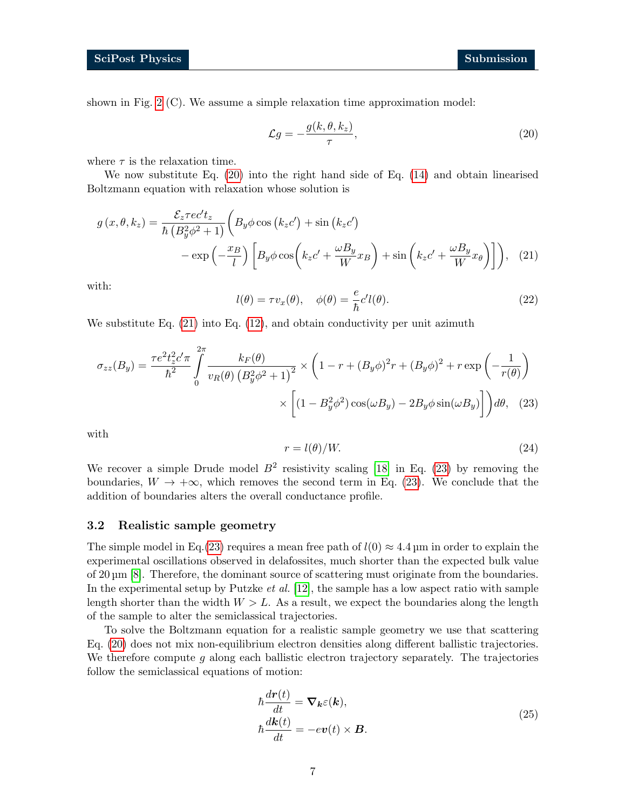shown in Fig. [2](#page-5-0) (C). We assume a simple relaxation time approximation model:

<span id="page-6-2"></span><span id="page-6-1"></span>
$$
\mathcal{L}g = -\frac{g(k,\theta,k_z)}{\tau},\tag{20}
$$

where  $\tau$  is the relaxation time.

We now substitute Eq. [\(20\)](#page-6-1) into the right hand side of Eq. [\(14\)](#page-4-2) and obtain linearised Boltzmann equation with relaxation whose solution is

$$
g(x, \theta, k_z) = \frac{\mathcal{E}_z \tau e c' t_z}{\hbar \left(B_y^2 \phi^2 + 1\right)} \left(B_y \phi \cos\left(k_z c'\right) + \sin\left(k_z c'\right) - \exp\left(-\frac{x_B}{l}\right) \left[B_y \phi \cos\left(k_z c' + \frac{\omega B_y}{W} x_B\right) + \sin\left(k_z c' + \frac{\omega B_y}{W} x_\theta\right)\right]\right), \quad (21)
$$

with:

$$
l(\theta) = \tau v_x(\theta), \quad \phi(\theta) = \frac{e}{\hbar} c' l(\theta).
$$
 (22)

We substitute Eq.  $(21)$  into Eq.  $(12)$ , and obtain conductivity per unit azimuth

$$
\sigma_{zz}(B_y) = \frac{\tau e^2 t_z^2 c' \pi}{\hbar^2} \int_0^{2\pi} \frac{k_F(\theta)}{v_R(\theta) \left(B_y^2 \phi^2 + 1\right)^2} \times \left(1 - r + (B_y \phi)^2 r + (B_y \phi)^2 + r \exp\left(-\frac{1}{r(\theta)}\right) \right)
$$

$$
\times \left[ (1 - B_y^2 \phi^2) \cos(\omega B_y) - 2B_y \phi \sin(\omega B_y) \right] d\theta, \quad (23)
$$

with

<span id="page-6-3"></span>
$$
r = l(\theta)/W.\tag{24}
$$

We recover a simple Drude model  $B^2$  resistivity scaling [\[18\]](#page-12-0) in Eq. [\(23\)](#page-6-3) by removing the boundaries,  $W \to +\infty$ , which removes the second term in Eq. [\(23\)](#page-6-3). We conclude that the addition of boundaries alters the overall conductance profile.

#### <span id="page-6-0"></span>3.2 Realistic sample geometry

The simple model in Eq.[\(23\)](#page-6-3) requires a mean free path of  $l(0) \approx 4.4$  µm in order to explain the experimental oscillations observed in delafossites, much shorter than the expected bulk value of 20 µm [\[8\]](#page-11-2). Therefore, the dominant source of scattering must originate from the boundaries. In the experimental setup by Putzke *et al.* [\[12\]](#page-11-6), the sample has a low aspect ratio with sample length shorter than the width  $W > L$ . As a result, we expect the boundaries along the length of the sample to alter the semiclassical trajectories.

To solve the Boltzmann equation for a realistic sample geometry we use that scattering Eq. [\(20\)](#page-6-1) does not mix non-equilibrium electron densities along different ballistic trajectories. We therefore compute  $q$  along each ballistic electron trajectory separately. The trajectories follow the semiclassical equations of motion:

<span id="page-6-4"></span>
$$
\hbar \frac{d\mathbf{r}(t)}{dt} = \nabla_{\mathbf{k}} \varepsilon(\mathbf{k}),
$$
\n
$$
\hbar \frac{d\mathbf{k}(t)}{dt} = -e\mathbf{v}(t) \times \mathbf{B}.
$$
\n(25)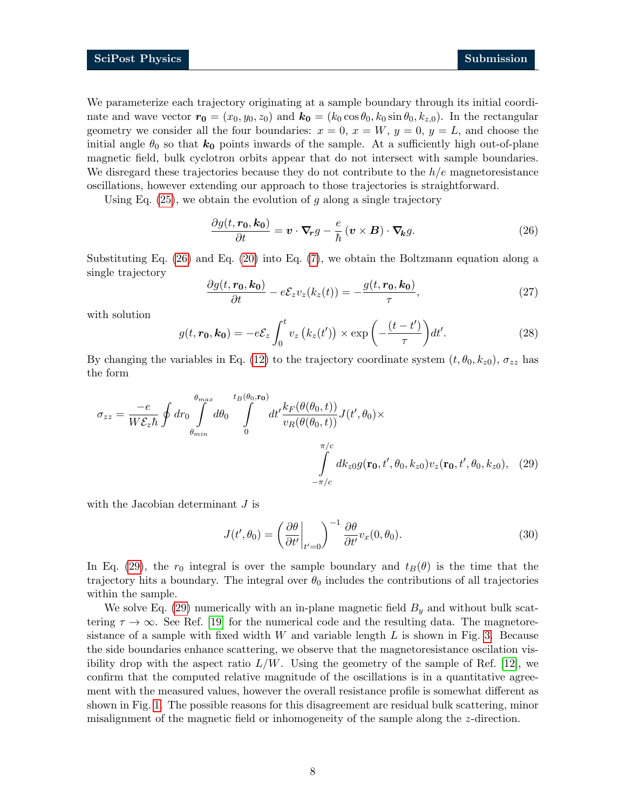We parameterize each trajectory originating at a sample boundary through its initial coordinate and wave vector  $r_0 = (x_0, y_0, z_0)$  and  $k_0 = (k_0 \cos \theta_0, k_0 \sin \theta_0, k_{z,0})$ . In the rectangular geometry we consider all the four boundaries:  $x = 0$ ,  $x = W$ ,  $y = 0$ ,  $y = L$ , and choose the initial angle  $\theta_0$  so that  $k_0$  points inwards of the sample. At a sufficiently high out-of-plane magnetic field, bulk cyclotron orbits appear that do not intersect with sample boundaries. We disregard these trajectories because they do not contribute to the  $h/e$  magnetoresistance oscillations, however extending our approach to those trajectories is straightforward.

Using Eq.  $(25)$ , we obtain the evolution of g along a single trajectory

<span id="page-7-0"></span>
$$
\frac{\partial g(t, \mathbf{r_0}, \mathbf{k_0})}{\partial t} = \mathbf{v} \cdot \nabla_{\mathbf{r}} g - \frac{e}{\hbar} \left( \mathbf{v} \times \mathbf{B} \right) \cdot \nabla_{\mathbf{k}} g. \tag{26}
$$

Substituting Eq. [\(26\)](#page-7-0) and Eq. [\(20\)](#page-6-1) into Eq. [\(7\)](#page-3-2), we obtain the Boltzmann equation along a single trajectory

$$
\frac{\partial g(t, \mathbf{r_0}, \mathbf{k_0})}{\partial t} - e\mathcal{E}_z v_z(k_z(t)) = -\frac{g(t, \mathbf{r_0}, \mathbf{k_0})}{\tau},\tag{27}
$$

with solution

$$
g(t, \mathbf{r_0}, \mathbf{k_0}) = -e\mathcal{E}_z \int_0^t v_z \left( k_z(t') \right) \times \exp\left( -\frac{(t-t')}{\tau} \right) dt'.
$$
 (28)

By changing the variables in Eq. [\(12\)](#page-4-4) to the trajectory coordinate system  $(t, \theta_0, k_{z0}), \sigma_{zz}$  has the form

$$
\sigma_{zz} = \frac{-e}{W\mathcal{E}_z \hbar} \oint dr_0 \int_{\theta_{min}}^{\theta_{max}} d\theta_0 \int_0^{t_B(\theta_0, \mathbf{r}_0)} dt' \frac{k_F(\theta(\theta_0, t))}{v_R(\theta(\theta_0, t))} J(t', \theta_0) \times \int_{-\pi/c}^{\pi/c} dk_{z0} g(\mathbf{r}_0, t', \theta_0, k_{z0}) v_z(\mathbf{r}_0, t', \theta_0, k_{z0}), \quad (29)
$$

with the Jacobian determinant  $J$  is

<span id="page-7-1"></span>
$$
J(t', \theta_0) = \left(\frac{\partial \theta}{\partial t'}\bigg|_{t'=0}\right)^{-1} \frac{\partial \theta}{\partial t'} v_x(0, \theta_0).
$$
 (30)

In Eq. [\(29\)](#page-7-1), the  $r_0$  integral is over the sample boundary and  $t_B(\theta)$  is the time that the trajectory hits a boundary. The integral over  $\theta_0$  includes the contributions of all trajectories within the sample.

We solve Eq. [\(29\)](#page-7-1) numerically with an in-plane magnetic field  $B<sub>y</sub>$  and without bulk scattering  $\tau \to \infty$ . See Ref. [\[19\]](#page-12-1) for the numerical code and the resulting data. The magnetoresistance of a sample with fixed width  $W$  and variable length  $L$  is shown in Fig. [3.](#page-8-1) Because the side boundaries enhance scattering, we observe that the magnetoresistance oscilation visibility drop with the aspect ratio  $L/W$ . Using the geometry of the sample of Ref. [\[12\]](#page-11-6), we confirm that the computed relative magnitude of the oscillations is in a quantitative agreement with the measured values, however the overall resistance profile is somewhat different as shown in Fig. [1.](#page-1-1) The possible reasons for this disagreement are residual bulk scattering, minor misalignment of the magnetic field or inhomogeneity of the sample along the z-direction.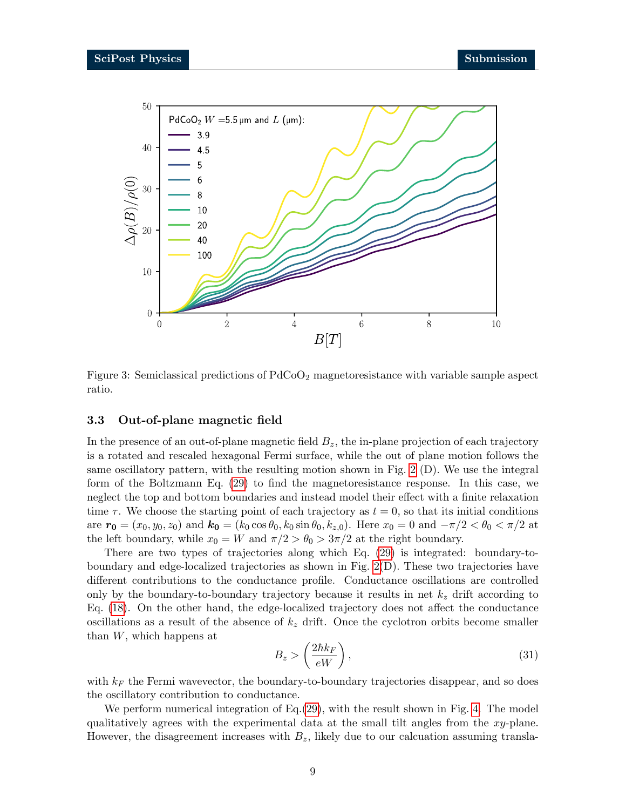

<span id="page-8-1"></span>Figure 3: Semiclassical predictions of  $PdCoO<sub>2</sub>$  magnetoresistance with variable sample aspect ratio.

#### <span id="page-8-0"></span>3.3 Out-of-plane magnetic field

In the presence of an out-of-plane magnetic field  $B<sub>z</sub>$ , the in-plane projection of each trajectory is a rotated and rescaled hexagonal Fermi surface, while the out of plane motion follows the same oscillatory pattern, with the resulting motion shown in Fig. [2](#page-5-0) (D). We use the integral form of the Boltzmann Eq. [\(29\)](#page-7-1) to find the magnetoresistance response. In this case, we neglect the top and bottom boundaries and instead model their effect with a finite relaxation time  $\tau$ . We choose the starting point of each trajectory as  $t = 0$ , so that its initial conditions are  $r_0 = (x_0, y_0, z_0)$  and  $k_0 = (k_0 \cos \theta_0, k_0 \sin \theta_0, k_{z,0})$ . Here  $x_0 = 0$  and  $-\pi/2 < \theta_0 < \pi/2$  at the left boundary, while  $x_0 = W$  and  $\pi/2 > \theta_0 > 3\pi/2$  at the right boundary.

There are two types of trajectories along which Eq. [\(29\)](#page-7-1) is integrated: boundary-toboundary and edge-localized trajectories as shown in Fig. [2\(](#page-5-0)D). These two trajectories have different contributions to the conductance profile. Conductance oscillations are controlled only by the boundary-to-boundary trajectory because it results in net  $k_z$  drift according to Eq. [\(18\)](#page-4-6). On the other hand, the edge-localized trajectory does not affect the conductance oscillations as a result of the absence of  $k<sub>z</sub>$  drift. Once the cyclotron orbits become smaller than  $W$ , which happens at

$$
B_z > \left(\frac{2\hbar k_F}{eW}\right),\tag{31}
$$

with  $k_F$  the Fermi wavevector, the boundary-to-boundary trajectories disappear, and so does the oscillatory contribution to conductance.

We perform numerical integration of Eq. [\(29\)](#page-7-1), with the result shown in Fig. [4.](#page-9-0) The model qualitatively agrees with the experimental data at the small tilt angles from the xy-plane. However, the disagreement increases with  $B_z$ , likely due to our calcuation assuming transla-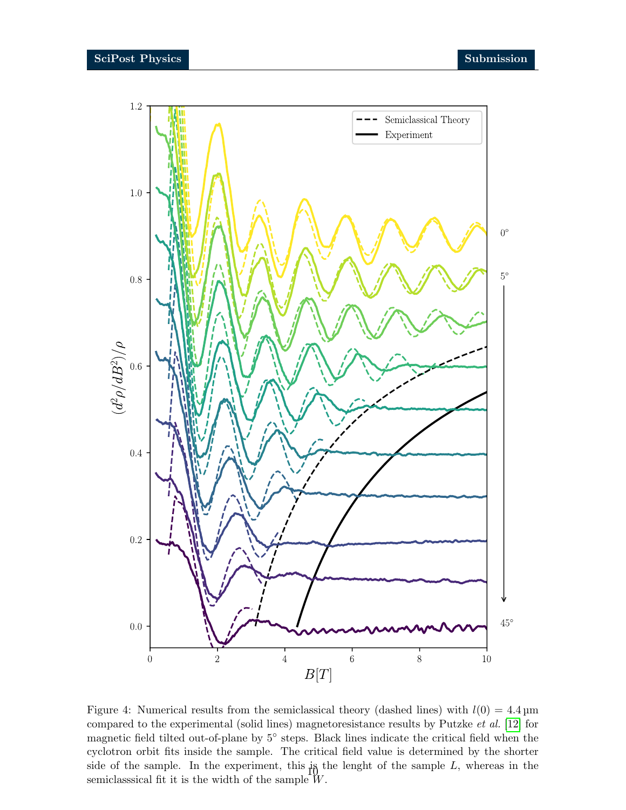

<span id="page-9-0"></span>Figure 4: Numerical results from the semiclassical theory (dashed lines) with  $l(0) = 4.4 \,\mathrm{\upmu m}$ compared to the experimental (solid lines) magnetoresistance results by Putzke et al. [\[12\]](#page-11-6) for magnetic field tilted out-of-plane by 5° steps. Black lines indicate the critical field when the cyclotron orbit fits inside the sample. The critical field value is determined by the shorter side of the sample. In the experiment, this is the lenght of the sample  $L$ , whereas in the semiclassical fit it is the width of the sample  $W$ .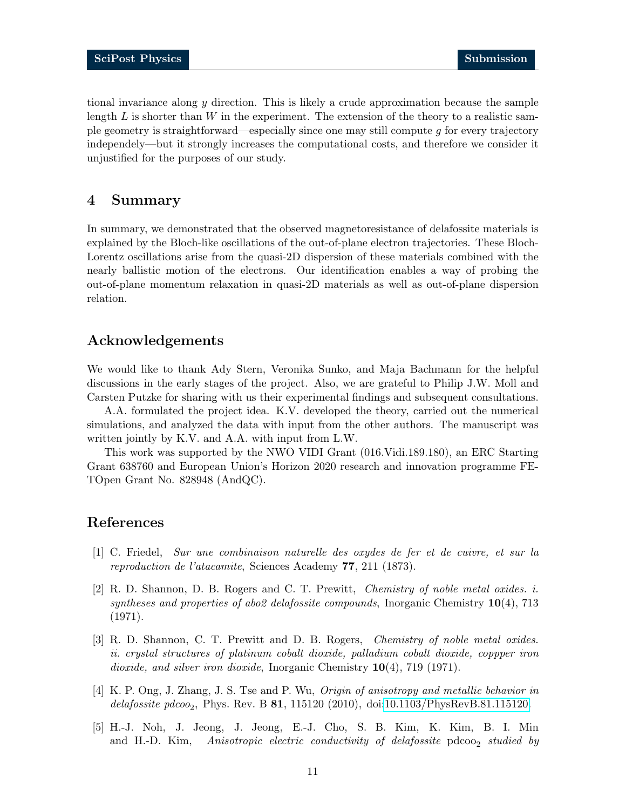tional invariance along  $y$  direction. This is likely a crude approximation because the sample length  $L$  is shorter than  $W$  in the experiment. The extension of the theory to a realistic sample geometry is straightforward—especially since one may still compute  $q$  for every trajectory independely—but it strongly increases the computational costs, and therefore we consider it unjustified for the purposes of our study.

### <span id="page-10-0"></span>4 Summary

In summary, we demonstrated that the observed magnetoresistance of delafossite materials is explained by the Bloch-like oscillations of the out-of-plane electron trajectories. These Bloch-Lorentz oscillations arise from the quasi-2D dispersion of these materials combined with the nearly ballistic motion of the electrons. Our identification enables a way of probing the out-of-plane momentum relaxation in quasi-2D materials as well as out-of-plane dispersion relation.

### Acknowledgements

We would like to thank Ady Stern, Veronika Sunko, and Maja Bachmann for the helpful discussions in the early stages of the project. Also, we are grateful to Philip J.W. Moll and Carsten Putzke for sharing with us their experimental findings and subsequent consultations.

A.A. formulated the project idea. K.V. developed the theory, carried out the numerical simulations, and analyzed the data with input from the other authors. The manuscript was written jointly by K.V. and A.A. with input from L.W.

This work was supported by the NWO VIDI Grant (016.Vidi.189.180), an ERC Starting Grant 638760 and European Union's Horizon 2020 research and innovation programme FE-TOpen Grant No. 828948 (AndQC).

## References

- <span id="page-10-1"></span>[1] C. Friedel, Sur une combinaison naturelle des oxydes de fer et de cuivre, et sur la reproduction de l'atacamite, Sciences Academy 77, 211 (1873).
- <span id="page-10-2"></span>[2] R. D. Shannon, D. B. Rogers and C. T. Prewitt, Chemistry of noble metal oxides. i. syntheses and properties of abo2 delafossite compounds, Inorganic Chemistry  $10(4)$ , 713 (1971).
- <span id="page-10-3"></span>[3] R. D. Shannon, C. T. Prewitt and D. B. Rogers, Chemistry of noble metal oxides. ii. crystal structures of platinum cobalt dioxide, palladium cobalt dioxide, coppper iron dioxide, and silver iron dioxide, Inorganic Chemistry 10(4), 719 (1971).
- <span id="page-10-4"></span>[4] K. P. Ong, J. Zhang, J. S. Tse and P. Wu, Origin of anisotropy and metallic behavior in delafossite pdcoo<sub>2</sub>, Phys. Rev. B  $81$ , 115120 (2010), doi[:10.1103/PhysRevB.81.115120.](https://doi.org/10.1103/PhysRevB.81.115120)
- <span id="page-10-5"></span>[5] H.-J. Noh, J. Jeong, J. Jeong, E.-J. Cho, S. B. Kim, K. Kim, B. I. Min and H.-D. Kim, Anisotropic electric conductivity of delafossite  $pdcoo<sub>2</sub>$  studied by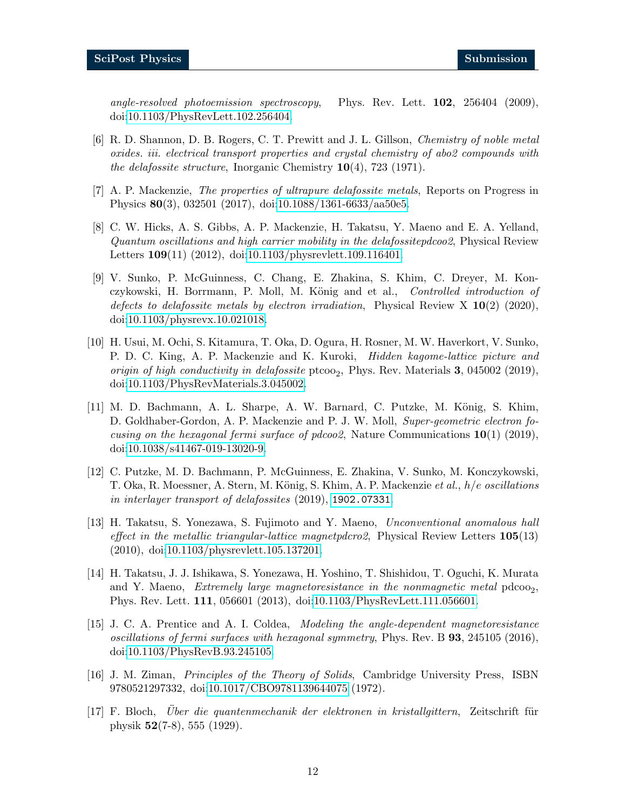angle-resolved photoemission spectroscopy, Phys. Rev. Lett.  $102$ ,  $256404$  (2009), doi[:10.1103/PhysRevLett.102.256404.](https://doi.org/10.1103/PhysRevLett.102.256404)

- <span id="page-11-0"></span>[6] R. D. Shannon, D. B. Rogers, C. T. Prewitt and J. L. Gillson, Chemistry of noble metal oxides. iii. electrical transport properties and crystal chemistry of abo2 compounds with the delafossite structure, Inorganic Chemistry  $10(4)$ , 723 (1971).
- <span id="page-11-1"></span>[7] A. P. Mackenzie, The properties of ultrapure delafossite metals, Reports on Progress in Physics 80(3), 032501 (2017), doi[:10.1088/1361-6633/aa50e5.](https://doi.org/10.1088/1361-6633/aa50e5)
- <span id="page-11-2"></span>[8] C. W. Hicks, A. S. Gibbs, A. P. Mackenzie, H. Takatsu, Y. Maeno and E. A. Yelland, Quantum oscillations and high carrier mobility in the delafossitepdcoo2, Physical Review Letters 109(11) (2012), doi[:10.1103/physrevlett.109.116401.](https://doi.org/10.1103/physrevlett.109.116401)
- <span id="page-11-3"></span>[9] V. Sunko, P. McGuinness, C. Chang, E. Zhakina, S. Khim, C. Dreyer, M. Konczykowski, H. Borrmann, P. Moll, M. König and et al., Controlled introduction of defects to delafossite metals by electron irradiation, Physical Review X  $10(2)$  (2020), doi[:10.1103/physrevx.10.021018.](https://doi.org/10.1103/physrevx.10.021018)
- <span id="page-11-4"></span>[10] H. Usui, M. Ochi, S. Kitamura, T. Oka, D. Ogura, H. Rosner, M. W. Haverkort, V. Sunko, P. D. C. King, A. P. Mackenzie and K. Kuroki, Hidden kagome-lattice picture and origin of high conductivity in delafossite  $ptco_{2}$ , Phys. Rev. Materials 3, 045002 (2019), doi[:10.1103/PhysRevMaterials.3.045002.](https://doi.org/10.1103/PhysRevMaterials.3.045002)
- <span id="page-11-5"></span>[11] M. D. Bachmann, A. L. Sharpe, A. W. Barnard, C. Putzke, M. König, S. Khim, D. Goldhaber-Gordon, A. P. Mackenzie and P. J. W. Moll, Super-geometric electron focusing on the hexagonal fermi surface of pdcoo2, Nature Communications  $10(1)$  (2019), doi[:10.1038/s41467-019-13020-9.](https://doi.org/10.1038/s41467-019-13020-9)
- <span id="page-11-6"></span>[12] C. Putzke, M. D. Bachmann, P. McGuinness, E. Zhakina, V. Sunko, M. Konczykowski, T. Oka, R. Moessner, A. Stern, M. König, S. Khim, A. P. Mackenzie et al., h/e oscillations in interlayer transport of delafossites (2019), <1902.07331>.
- <span id="page-11-7"></span>[13] H. Takatsu, S. Yonezawa, S. Fujimoto and Y. Maeno, Unconventional anomalous hall effect in the metallic triangular-lattice magnetpdcro2, Physical Review Letters  $105(13)$ (2010), doi[:10.1103/physrevlett.105.137201.](https://doi.org/10.1103/physrevlett.105.137201)
- <span id="page-11-8"></span>[14] H. Takatsu, J. J. Ishikawa, S. Yonezawa, H. Yoshino, T. Shishidou, T. Oguchi, K. Murata and Y. Maeno, Extremely large magnetoresistance in the nonmagnetic metal  $pdcoo<sub>2</sub>$ , Phys. Rev. Lett. 111, 056601 (2013), doi[:10.1103/PhysRevLett.111.056601.](https://doi.org/10.1103/PhysRevLett.111.056601)
- <span id="page-11-9"></span>[15] J. C. A. Prentice and A. I. Coldea, Modeling the angle-dependent magnetoresistance oscillations of fermi surfaces with hexagonal symmetry, Phys. Rev. B 93, 245105 (2016), doi[:10.1103/PhysRevB.93.245105.](https://doi.org/10.1103/PhysRevB.93.245105)
- <span id="page-11-10"></span>[16] J. M. Ziman, Principles of the Theory of Solids, Cambridge University Press, ISBN 9780521297332, doi[:10.1017/CBO9781139644075](https://doi.org/10.1017/CBO9781139644075) (1972).
- <span id="page-11-11"></span>[17] F. Bloch, Uber die quantenmechanik der elektronen in kristallgittern, Zeitschrift für physik 52(7-8), 555 (1929).